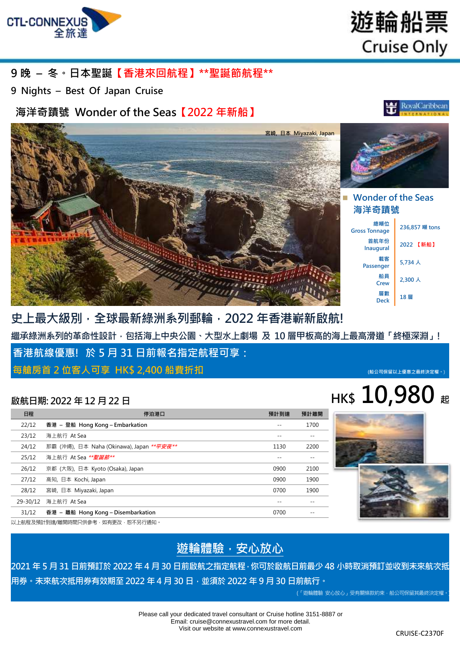

遊輪船票 **Cruise Only** 

### **9 晚 – 冬。日本聖誕【香港來回航程】\*\*聖誕節航程\*\***

**9 Nights – Best Of Japan Cruise**

**海洋奇蹟號 Wonder of the Seas【2022 年新船】**

 **Wonder of the Seas 海洋奇蹟號 總噸位 Gross Tonnage 236,857 <sup>噸</sup> tons 首航年份 Inaugural <sup>2022</sup>【新船】 載客 Passenger** 5,734 人 **船員 fii** ■ 2,300 人 **層數** ■<sup>■數</sup> | 18層 **宮崎, 日本 Miyazaki, Japan**

**史上最大級別,全球最新綠洲系列郵輪,2022 年香港嶄新啟航! 繼承綠洲系列的革命性設計,包括海上中央公園、大型水上劇場 及 10 層甲板高的海上最高滑道「終極深淵」! 香港航線優惠! 於 5 月 31 日前報名指定航程可享: 每艙房首 2 位客人可享 HK\$ 2,400 船費折扣 (船公司保留以上優惠之最終決定權。**)

# **a 10,980** 起

| 日程       | 停泊港口                                              | 預計到達 | 預計離開 |
|----------|---------------------------------------------------|------|------|
| 22/12    | 香港 – 登船 Hong Kong – Embarkation                   |      | 1700 |
| 23/12    | 海上航行 At Sea                                       |      |      |
| 24/12    | 那霸 (沖繩), 日本 Naha (Okinawa), Japan ** <i>平安夜**</i> | 1130 | 2200 |
| 25/12    | 海上航行 At Sea ** <i>聖誕節**</i>                       |      |      |
| 26/12    | 京都 (大阪), 日本 Kyoto (Osaka), Japan                  | 0900 | 2100 |
| 27/12    | 高知, 日本 Kochi, Japan                               | 0900 | 1900 |
| 28/12    | 宮崎, 日本 Miyazaki, Japan                            | 0700 | 1900 |
| 29-30/12 | 海上航行 At Sea                                       |      |      |
| 31/12    | 香港 – 離船 Hong Kong – Disembarkation                | 0700 |      |

以上航程及預計到達/離開時間只供參考,如有更改,恕不另行通知。

## **遊輪體驗,安心放心**

**2021 年 5 月 31 日前預訂於 2022 年 4 月 30 日前啟航之指定航程,你可於啟航日前最少 48 小時取消預訂並收到未來航次抵**

**用券。未來航次抵用券有效期至 2022 年 4 月 30 日,並須於 2022 年 9 月 30 日前航行。**

(「遊輪體驗 安心放心」受有關條款約束,船公司保留其最終決定權。

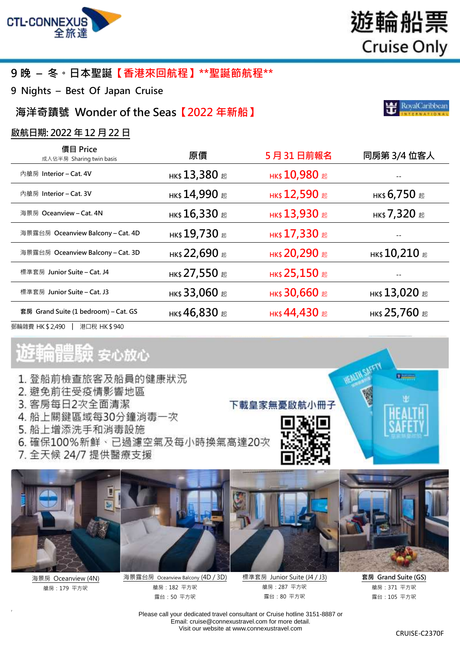

# **9 晚 – 冬。日本聖誕【香港來回航程】\*\*聖誕節航程\*\***

**9 Nights – Best Of Japan Cruise**

**海洋奇蹟號 Wonder of the Seas【2022 年新船】**

### **啟航日期: 2022 年 12 月 22 日**

| 價目 Price<br>成人佔半房 Sharing twin basis | 原價                                                                                                                      | 5月31日前報名             | 同房第 3/4 位客人                |
|--------------------------------------|-------------------------------------------------------------------------------------------------------------------------|----------------------|----------------------------|
| 內艙房 Interior – Cat. 4V               | нк\$ $13,380$ #                                                                                                         | <b>НК\$ 10,980 起</b> |                            |
| 內艙房 Interior – Cat. 3V               | нк\$ 14,990 #                                                                                                           | <b>нк\$ 12,590 起</b> | нк\$ 6,750 #               |
| 海景房 Oceanview – Cat. 4N              | нк\$ $16,330$ $\scriptstyle\rm \&$                                                                                      | нк\$ 13,930 超        | нк\$ 7,320 #               |
| 海景露台房 Oceanview Balcony – Cat. 4D    | нк\$ $19,730$ $\scriptstyle\rm \scriptstyle \rm \scriptstyle \rm \scriptstyle \rm \scriptstyle \rm \scriptstyle \rm E}$ | нк\$ 17,330 #        |                            |
| 海景露台房 Oceanview Balcony – Cat. 3D    | нк\$ 22,690 #                                                                                                           | <b>НК\$ 20,290 起</b> | нк\$ $10,210$ $_{\rm \pm}$ |
| 標準套房 Junior Suite – Cat. J4          | нк\$ 27,550 #                                                                                                           | нк\$ 25,150 超        |                            |
| 標準套房 Junior Suite – Cat. J3          | нк\$ 33,060 #                                                                                                           | нк\$ 30,660 起        | нк\$ $13,020$ #            |
| 套房 Grand Suite (1 bedroom) – Cat. GS | нк\$ 46,830 #                                                                                                           | нк\$ 44,430 $E$      | нк\$ 25,760 #              |
| 郵輪雜費 HK \$ 2,490<br>港口稅 HK\$940      |                                                                                                                         |                      |                            |

# き輪體験 安心放心

- 1. 登船前檢查旅客及船員的健康狀況
- 2. 避免前往受疫情影響地區
- 3. 客房每日2次全面清潔
- 4. 船上關鍵區域每30分鐘消毒一次
- 5. 船上增添洗手和消毒設施
- 6. 確保100%新鮮、已過濾空氣及每小時換氣高達20次
- 7. 全天候 24/7 提供醫療支援



海景房 Oceanview (4N) 艙房:179 平方呎

7



海景露台房 Oceanview Balcony (4D / 3D) 艙房:182 平方呎 露台:50 平方呎

標準套房 Junior Suite (J4 / J3) 艙房:287 平方呎 露台:80 平方呎

下載皇家無憂啟航小冊子

**Children** 

**套房 Grand Suite (GS)** 艙房:371 平方呎 露台:105 平方呎

Please call your dedicated travel consultant or Cruise hotline 3151-8887 or Email[: cruise@connexustravel.com](mailto:cruise@connexustravel.com) for more detail. Visit our website at [www.connexustravel.com](http://www.connexustravel.com/)